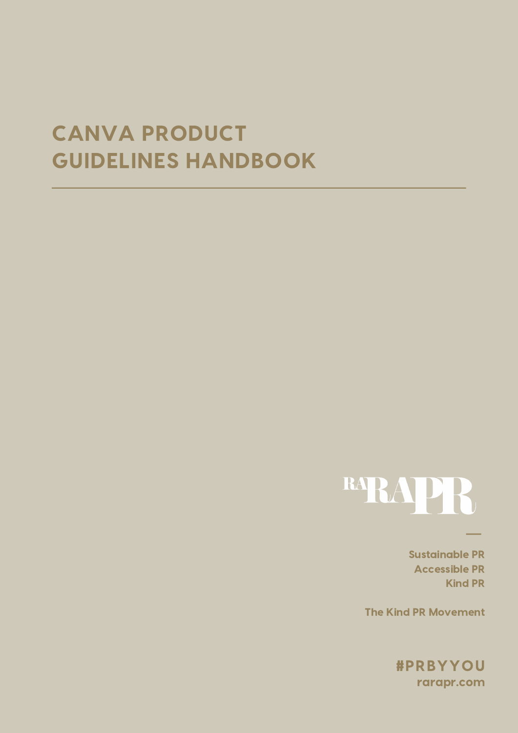# CANVA PRODUCT GUIDELINES HANDBOOK



Sustainable PR Accessible PR Kind PR

The Kind PR Movement

rarapr.com #PRBYYOU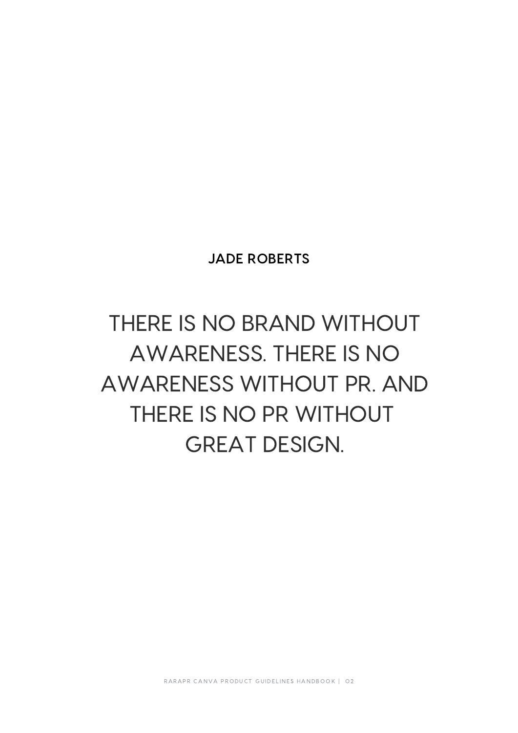## JADE ROBERTS

# THERE IS NO BRAND WITHOUT AWARENESS. THERE IS NO AWARENESS WITHOUT PR. AND THERE IS NO PR WITHOUT GREAT DESIGN.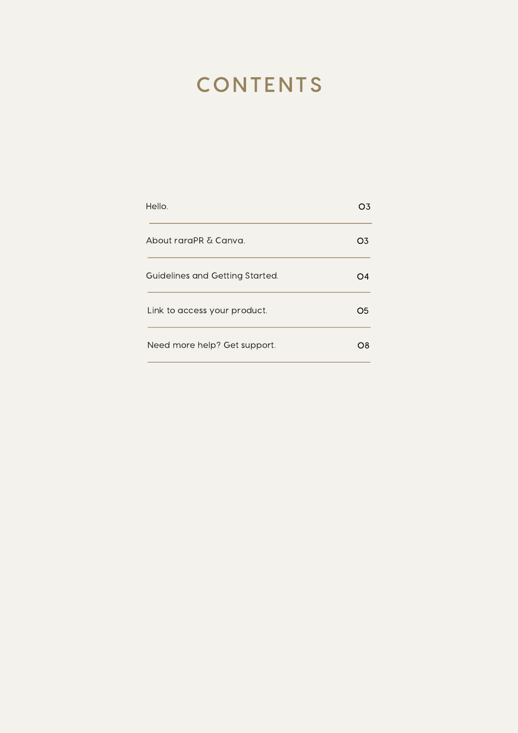# **CONTENTS**

| Hello.                          | )3  |
|---------------------------------|-----|
| About raraPR & Canva.           | O3. |
| Guidelines and Getting Started. |     |
| Link to access your product.    | Ο5. |
| Need more help? Get support.    | Ο8  |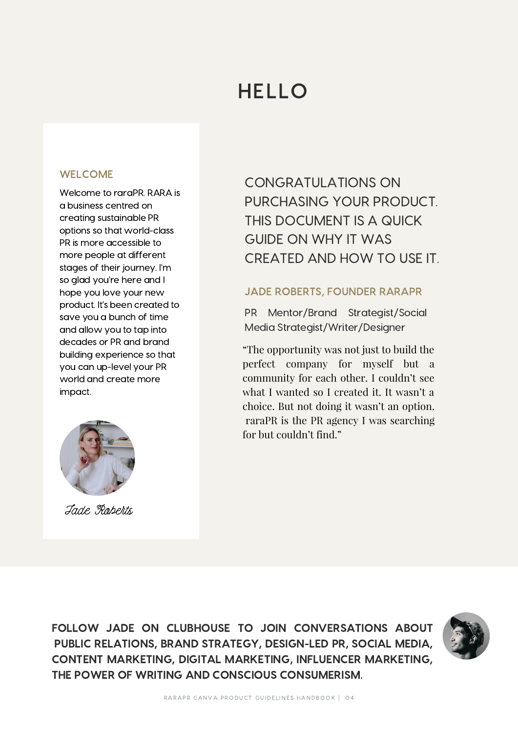# HELLO

## WELCOME

Welcome to raraPR. RARA is a business centred on creating sustainable PR options so that world-class PR is more accessible to more people at different stages of their journey. I'm so glad you're here and I hope you love your new product. It's been created to save you a bunch of time and allow you to tap into decades or PR and brand building experience so that you can up-level your PR world and create more impact.



Jade Roberts

CONGRATULATIONS ON PURCHASING YOUR PRODUCT. THIS DOCUMENT IS A QUICK GUIDE ON WHY IT WAS CREATED AND HOW TO USE IT.

## JADE ROBERTS, FOUNDER RARAPR

PR Mentor/Brand Strategist/Social Media Strategist/Writer/Designer

"The opportunity was not just to build the perfect company for myself but a community for each other. I couldn't see what I wanted so I created it. It wasn't a choice. But not doing it wasn't an option. raraPR is the PR agency I was searching for but couldn't find."

FOLLOW JADE ON CLUBHOUSE TO JOIN CONVERSATIONS ABOUT PUBLIC RELATIONS, BRAND STRATEGY, DESIGN-LED PR, SOCIAL MEDIA, CONTENT MARKETING, DIGITAL MARKETING, INFLUENCER MARKETING, THE POWER OF WRITING AND CONSCIOUS CONSUMERISM.

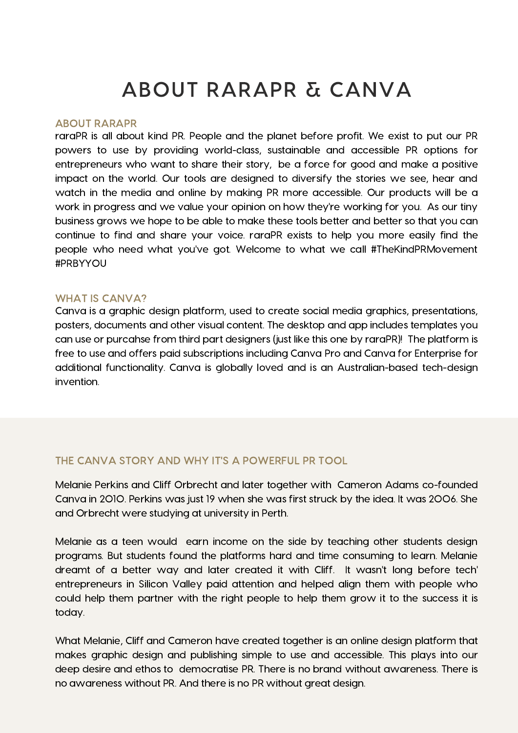# ABOUT RARAPR & CANVA

### ABOUT RARAPR

raraPR is all about kind PR. People and the planet before profit. We exist to put our PR powers to use by providing world-class, sustainable and accessible PR options for entrepreneurs who want to share their story, be a force for good and make a positive impact on the world. Our tools are designed to diversify the stories we see, hear and watch in the media and online by making PR more accessible. Our products will be a work in progress and we value your opinion on how they're working for you. As our tiny business grows we hope to be able to make these tools better and better so that you can continue to find and share your voice. raraPR exists to help you more easily find the people who need what you've got. Welcome to what we call #TheKindPRMovement #PRBYYOU

### WHAT IS CANVA?

Canva is a graphic design platform, used to create social media graphics, presentations, posters, documents and other visual content. The desktop and app includes templates you can use or purcahse from third part designers (just like this one by raraPR)! The platform is free to use and offers paid subscriptions including Canva Pro and Canva for Enterprise for additional functionality. Canva is globally loved and is an Australian-based tech-design invention.

## THE CANVA STORY AND WHY IT'S A POWERFUL PR TOOL

Melanie Perkins and Cliff Orbrecht and later together with Cameron Adams co-founded Canva in 2010. Perkins was just 19 when she was first struck by the idea. It was 2006. She and Orbrecht were studying at university in Perth.

Melanie as a teen would earn income on the side by teaching other students design programs. But students found the platforms hard and time consuming to learn. Melanie dreamt of a better way and later created it with Cliff. It wasn't long before tech' entrepreneurs in Silicon Valley paid attention and helped align them with people who could help them partner with the right people to help them grow it to the success it is today.

What Melanie, Cliff and Cameron have created together is an online design platform that makes graphic design and publishing simple to use and accessible. This plays into our deep desire and ethos to democratise PR. There is no brand without awareness. There is no awareness without PR. And there is no PR without great design.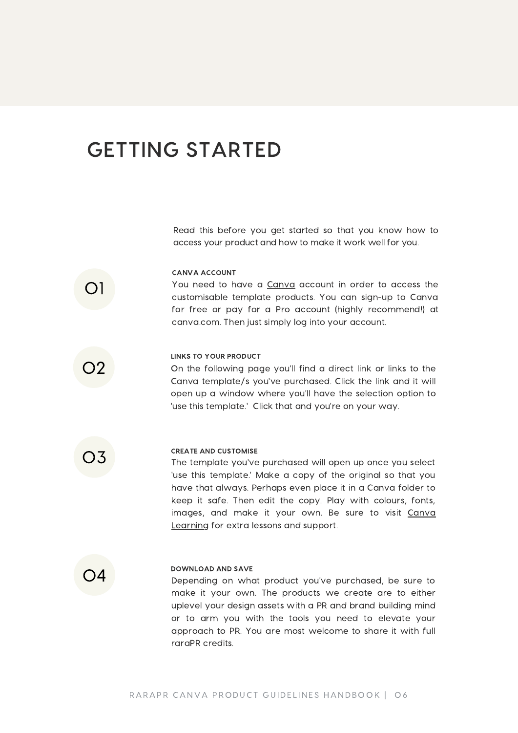## GETTING STARTED

Read this before you get started so that you know how to access your product and how to make it work well for you.

#### CANVA ACCOUNT

You need to have a [Canva](https://www.canva.com/) account in order to access the customisable template products. You can sign-up to Canva for free or pay for a Pro account (highly recommend!) at canva.com. Then just simply log into your account.

## 02

01

#### LINKS TO YOUR PRODUCT

On the following page you'll find a direct link or links to the Canva template/s you've purchased. Click the link and it will open up a window where you'll have the selection option to 'use this template.' Click that and you're on your way.

03

#### CREATE AND CUSTOMISE

The template you've purchased will open up once you select 'use this template.' Make a copy of the original so that you have that always. Perhaps even place it in a Canva folder to keep it safe. Then edit the copy. Play with colours, fonts, images, and make it your own. Be sure to visit Canva [Learning](https://www.canva.com/learn/) for extra lessons and support.



#### DOWNLOAD AND SAVE

Depending on what product you've purchased, be sure to make it your own. The products we create are to either uplevel your design assets with a PR and brand building mind or to arm you with the tools you need to elevate your approach to PR. You are most welcome to share it with full raraPR credits.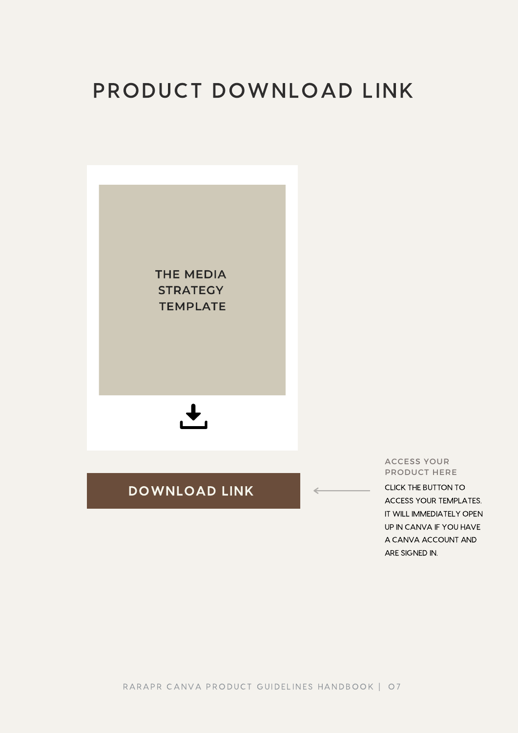# PRODUCT DOWNLOAD LINK



RARAPR CANVA PRODUCT GUIDELINES HANDBOOK | 07